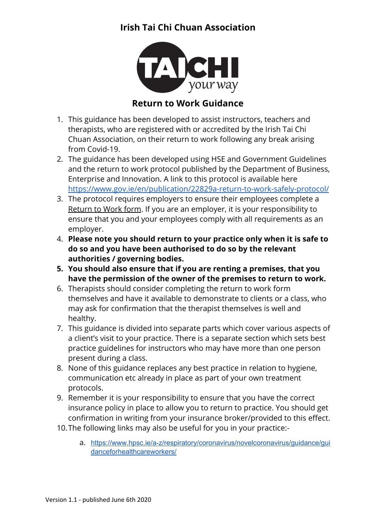

## **Return to Work Guidance**

- 1. This guidance has been developed to assist instructors, teachers and therapists, who are registered with or accredited by the Irish Tai Chi Chuan Association, on their return to work following any break arising from Covid-19.
- 2. The guidance has been developed using HSE and Government Guidelines and the return to work protocol published by the Department of Business, Enterprise and Innovation. A link to this protocol is available here <https://www.gov.ie/en/publication/22829a-return-to-work-safely-protocol/>
- 3. The protocol requires employers to ensure their employees complete a Return to Work form. If you are an employer, it is your responsibility to ensure that you and your employees comply with all requirements as an employer.
- 4. **Please note you should return to your practice only when it is safe to do so and you have been authorised to do so by the relevant authorities / governing bodies.**
- **5. You should also ensure that if you are renting a premises, that you have the permission of the owner of the premises to return to work.**
- 6. Therapists should consider completing the return to work form themselves and have it available to demonstrate to clients or a class, who may ask for confirmation that the therapist themselves is well and healthy.
- 7. This guidance is divided into separate parts which cover various aspects of a client's visit to your practice. There is a separate section which sets best practice guidelines for instructors who may have more than one person present during a class.
- 8. None of this guidance replaces any best practice in relation to hygiene, communication etc already in place as part of your own treatment protocols.
- 9. Remember it is your responsibility to ensure that you have the correct insurance policy in place to allow you to return to practice. You should get confirmation in writing from your insurance broker/provided to this effect.
- 10.The following links may also be useful for you in your practice:
	- a. [https://www.hpsc.ie/a-z/respiratory/coronavirus/novelcoronavirus/guidance/gui](https://www.hpsc.ie/a-z/respiratory/coronavirus/novelcoronavirus/guidance/guidanceforhealthcareworkers/) [danceforhealthcareworkers/](https://www.hpsc.ie/a-z/respiratory/coronavirus/novelcoronavirus/guidance/guidanceforhealthcareworkers/)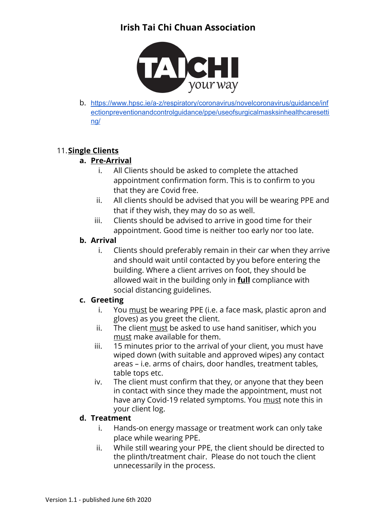

b. [https://www.hpsc.ie/a-z/respiratory/coronavirus/novelcoronavirus/guidance/inf](https://www.hpsc.ie/a-z/respiratory/coronavirus/novelcoronavirus/guidance/infectionpreventionandcontrolguidance/ppe/useofsurgicalmasksinhealthcaresetting/) [ectionpreventionandcontrolguidance/ppe/useofsurgicalmasksinhealthcaresetti](https://www.hpsc.ie/a-z/respiratory/coronavirus/novelcoronavirus/guidance/infectionpreventionandcontrolguidance/ppe/useofsurgicalmasksinhealthcaresetting/) [ng/](https://www.hpsc.ie/a-z/respiratory/coronavirus/novelcoronavirus/guidance/infectionpreventionandcontrolguidance/ppe/useofsurgicalmasksinhealthcaresetting/)

### 11.**Single Clients**

#### **a. Pre-Arrival**

- i. All Clients should be asked to complete the attached appointment confirmation form. This is to confirm to you that they are Covid free.
- ii. All clients should be advised that you will be wearing PPE and that if they wish, they may do so as well.
- iii. Clients should be advised to arrive in good time for their appointment. Good time is neither too early nor too late.

#### **b. Arrival**

i. Clients should preferably remain in their car when they arrive and should wait until contacted by you before entering the building. Where a client arrives on foot, they should be allowed wait in the building only in **full** compliance with social distancing guidelines.

#### **c. Greeting**

- i. You must be wearing PPE (i.e. a face mask, plastic apron and gloves) as you greet the client.
- ii. The client must be asked to use hand sanitiser, which you must make available for them.
- iii. 15 minutes prior to the arrival of your client, you must have wiped down (with suitable and approved wipes) any contact areas – i.e. arms of chairs, door handles, treatment tables, table tops etc.
- iv. The client must confirm that they, or anyone that they been in contact with since they made the appointment, must not have any Covid-19 related symptoms. You must note this in your client log.

#### **d. Treatment**

- i. Hands-on energy massage or treatment work can only take place while wearing PPE.
- ii. While still wearing your PPE, the client should be directed to the plinth/treatment chair. Please do not touch the client unnecessarily in the process.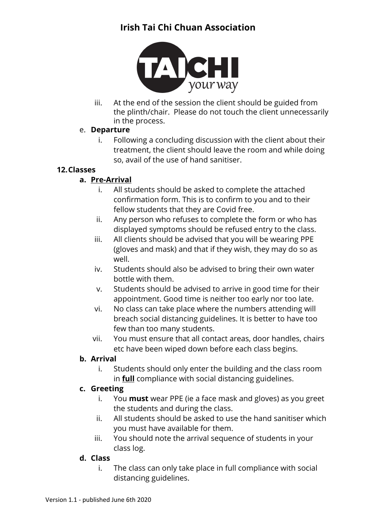

iii. At the end of the session the client should be guided from the plinth/chair. Please do not touch the client unnecessarily in the process.

#### e. **Departure**

i. Following a concluding discussion with the client about their treatment, the client should leave the room and while doing so, avail of the use of hand sanitiser.

#### **12.Classes**

### **a. Pre-Arrival**

- i. All students should be asked to complete the attached confirmation form. This is to confirm to you and to their fellow students that they are Covid free.
- ii. Any person who refuses to complete the form or who has displayed symptoms should be refused entry to the class.
- iii. All clients should be advised that you will be wearing PPE (gloves and mask) and that if they wish, they may do so as well.
- iv. Students should also be advised to bring their own water bottle with them.
- v. Students should be advised to arrive in good time for their appointment. Good time is neither too early nor too late.
- vi. No class can take place where the numbers attending will breach social distancing guidelines. It is better to have too few than too many students.
- vii. You must ensure that all contact areas, door handles, chairs etc have been wiped down before each class begins.

#### **b. Arrival**

i. Students should only enter the building and the class room in **full** compliance with social distancing guidelines.

#### **c. Greeting**

- i. You **must** wear PPE (ie a face mask and gloves) as you greet the students and during the class.
- ii. All students should be asked to use the hand sanitiser which you must have available for them.
- iii. You should note the arrival sequence of students in your class log.

#### **d. Class**

i. The class can only take place in full compliance with social distancing guidelines.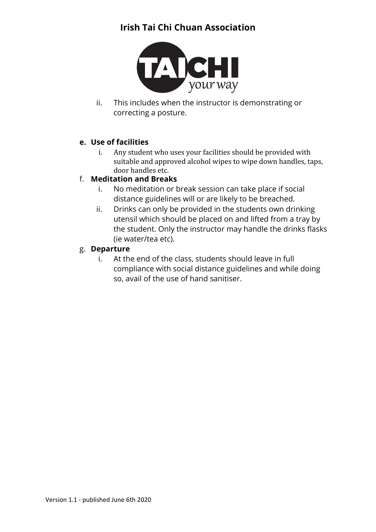

ii. This includes when the instructor is demonstrating or correcting a posture.

#### **e. Use of facilities**

i. Any student who uses your facilities should be provided with suitable and approved alcohol wipes to wipe down handles, taps, door handles etc.

#### f. **Meditation and Breaks**

- i. No meditation or break session can take place if social distance guidelines will or are likely to be breached.
- ii. Drinks can only be provided in the students own drinking utensil which should be placed on and lifted from a tray by the student. Only the instructor may handle the drinks flasks (ie water/tea etc).

#### g. **Departure**

i. At the end of the class, students should leave in full compliance with social distance guidelines and while doing so, avail of the use of hand sanitiser.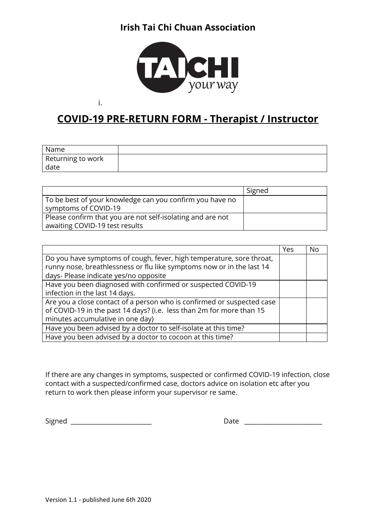

# **COVID-19 PRE-RETURN FORM - Therapist / Instructor**

| Name              |  |
|-------------------|--|
| Returning to work |  |
| date              |  |

|                                                                                              | Signed |
|----------------------------------------------------------------------------------------------|--------|
| To be best of your knowledge can you confirm you have no<br>symptoms of COVID-19             |        |
| Please confirm that you are not self-isolating and are not<br>awaiting COVID-19 test results |        |

|                                                                                                                                               | Yes | No |
|-----------------------------------------------------------------------------------------------------------------------------------------------|-----|----|
| Do you have symptoms of cough, fever, high temperature, sore throat,<br>runny nose, breathlessness or flu like symptoms now or in the last 14 |     |    |
| days- Please indicate yes/no opposite                                                                                                         |     |    |
| Have you been diagnosed with confirmed or suspected COVID-19                                                                                  |     |    |
| infection in the last 14 days.                                                                                                                |     |    |
| Are you a close contact of a person who is confirmed or suspected case                                                                        |     |    |
| of COVID-19 in the past 14 days? (i.e. less than 2m for more than 15                                                                          |     |    |
| minutes accumulative in one day)                                                                                                              |     |    |
| Have you been advised by a doctor to self-isolate at this time?                                                                               |     |    |
| Have you been advised by a doctor to cocoon at this time?                                                                                     |     |    |

If there are any changes in symptoms, suspected or confirmed COVID-19 infection, close contact with a suspected/confirmed case, doctors advice on isolation etc after you return to work then please inform your supervisor re same.

Signed \_\_\_\_\_\_\_\_\_\_\_\_\_\_\_\_\_\_\_\_\_\_\_\_\_\_ Date \_\_\_\_\_\_\_\_\_\_\_\_\_\_\_\_\_\_\_\_\_\_\_\_\_

i.

| Date |  |
|------|--|
|------|--|